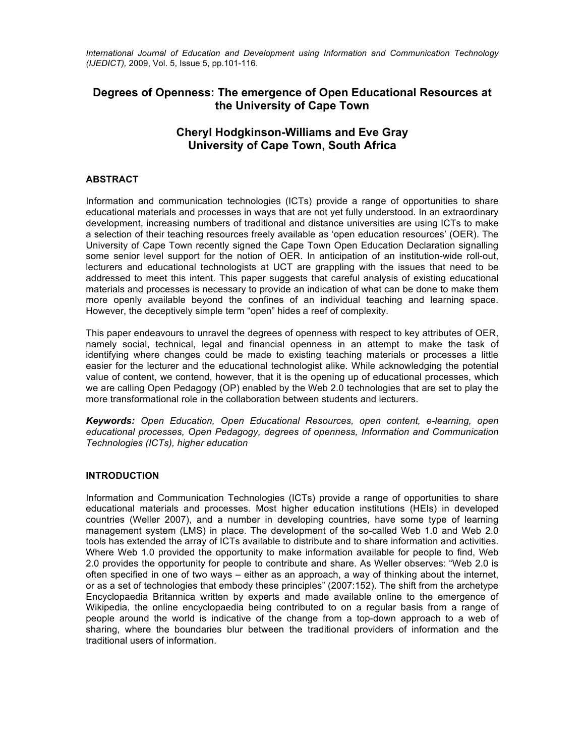*International Journal of Education and Development using Information and Communication Technology (IJEDICT),* 2009, Vol. 5, Issue 5, pp.101-116.

# **Degrees of Openness: The emergence of Open Educational Resources at the University of Cape Town**

# **Cheryl Hodgkinson-Williams and Eve Gray University of Cape Town, South Africa**

## **ABSTRACT**

Information and communication technologies (ICTs) provide a range of opportunities to share educational materials and processes in ways that are not yet fully understood. In an extraordinary development, increasing numbers of traditional and distance universities are using ICTs to make a selection of their teaching resources freely available as 'open education resources' (OER). The University of Cape Town recently signed the Cape Town Open Education Declaration signalling some senior level support for the notion of OER. In anticipation of an institution-wide roll-out, lecturers and educational technologists at UCT are grappling with the issues that need to be addressed to meet this intent. This paper suggests that careful analysis of existing educational materials and processes is necessary to provide an indication of what can be done to make them more openly available beyond the confines of an individual teaching and learning space. However, the deceptively simple term "open" hides a reef of complexity.

This paper endeavours to unravel the degrees of openness with respect to key attributes of OER, namely social, technical, legal and financial openness in an attempt to make the task of identifying where changes could be made to existing teaching materials or processes a little easier for the lecturer and the educational technologist alike. While acknowledging the potential value of content, we contend, however, that it is the opening up of educational processes, which we are calling Open Pedagogy (OP) enabled by the Web 2.0 technologies that are set to play the more transformational role in the collaboration between students and lecturers.

*Keywords: Open Education, Open Educational Resources, open content, e-learning, open educational processes, Open Pedagogy, degrees of openness, Information and Communication Technologies (ICTs), higher education*

#### **INTRODUCTION**

Information and Communication Technologies (ICTs) provide a range of opportunities to share educational materials and processes. Most higher education institutions (HEIs) in developed countries (Weller 2007), and a number in developing countries, have some type of learning management system (LMS) in place. The development of the so-called Web 1.0 and Web 2.0 tools has extended the array of ICTs available to distribute and to share information and activities. Where Web 1.0 provided the opportunity to make information available for people to find, Web 2.0 provides the opportunity for people to contribute and share. As Weller observes: "Web 2.0 is often specified in one of two ways – either as an approach, a way of thinking about the internet, or as a set of technologies that embody these principles" (2007:152). The shift from the archetype Encyclopaedia Britannica written by experts and made available online to the emergence of Wikipedia, the online encyclopaedia being contributed to on a regular basis from a range of people around the world is indicative of the change from a top-down approach to a web of sharing, where the boundaries blur between the traditional providers of information and the traditional users of information.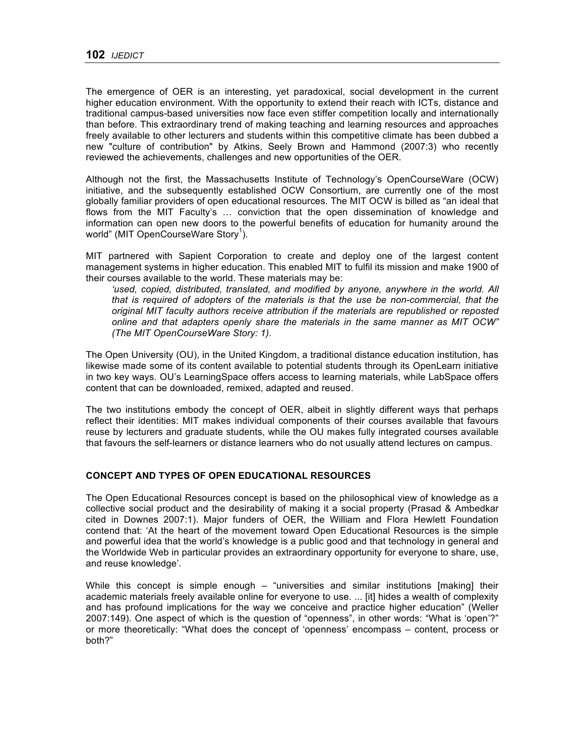The emergence of OER is an interesting, yet paradoxical, social development in the current higher education environment. With the opportunity to extend their reach with ICTs, distance and traditional campus-based universities now face even stiffer competition locally and internationally than before. This extraordinary trend of making teaching and learning resources and approaches freely available to other lecturers and students within this competitive climate has been dubbed a new "culture of contribution" by Atkins, Seely Brown and Hammond (2007:3) who recently reviewed the achievements, challenges and new opportunities of the OER.

Although not the first, the Massachusetts Institute of Technology's OpenCourseWare (OCW) initiative, and the subsequently established OCW Consortium, are currently one of the most globally familiar providers of open educational resources. The MIT OCW is billed as "an ideal that flows from the MIT Faculty's … conviction that the open dissemination of knowledge and information can open new doors to the powerful benefits of education for humanity around the world" (MIT OpenCourseWare Story<sup>1</sup>).

MIT partnered with Sapient Corporation to create and deploy one of the largest content management systems in higher education. This enabled MIT to fulfil its mission and make 1900 of their courses available to the world. These materials may be:

'used, copied, distributed, translated, and modified by anyone, anywhere in the world. All *that is required of adopters of the materials is that the use be non-commercial, that the original MIT faculty authors receive attribution if the materials are republished or reposted online and that adapters openly share the materials in the same manner as MIT OCW" (The MIT OpenCourseWare Story: 1).*

The Open University (OU), in the United Kingdom, a traditional distance education institution, has likewise made some of its content available to potential students through its OpenLearn initiative in two key ways. OU's LearningSpace offers access to learning materials, while LabSpace offers content that can be downloaded, remixed, adapted and reused.

The two institutions embody the concept of OER, albeit in slightly different ways that perhaps reflect their identities: MIT makes individual components of their courses available that favours reuse by lecturers and graduate students, while the OU makes fully integrated courses available that favours the self-learners or distance learners who do not usually attend lectures on campus.

#### **CONCEPT AND TYPES OF OPEN EDUCATIONAL RESOURCES**

The Open Educational Resources concept is based on the philosophical view of knowledge as a collective social product and the desirability of making it a social property (Prasad & Ambedkar cited in Downes 2007:1). Major funders of OER, the William and Flora Hewlett Foundation contend that: 'At the heart of the movement toward Open Educational Resources is the simple and powerful idea that the world's knowledge is a public good and that technology in general and the Worldwide Web in particular provides an extraordinary opportunity for everyone to share, use, and reuse knowledge'.

While this concept is simple enough – "universities and similar institutions [making] their academic materials freely available online for everyone to use. ... [it] hides a wealth of complexity and has profound implications for the way we conceive and practice higher education" (Weller 2007:149). One aspect of which is the question of "openness", in other words: "What is 'open'?" or more theoretically: "What does the concept of 'openness' encompass – content, process or both?"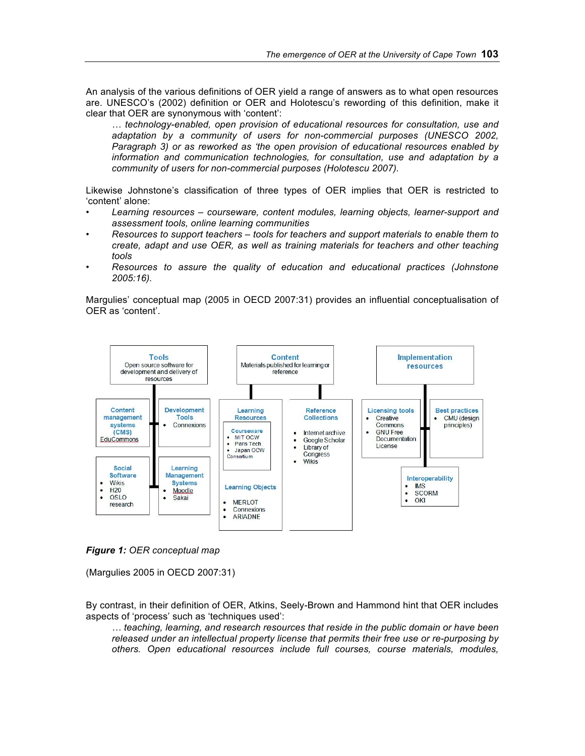An analysis of the various definitions of OER yield a range of answers as to what open resources are. UNESCO's (2002) definition or OER and Holotescu's rewording of this definition, make it clear that OER are synonymous with 'content':

*… technology-enabled, open provision of educational resources for consultation, use and adaptation by a community of users for non-commercial purposes (UNESCO 2002, Paragraph 3) or as reworked as 'the open provision of educational resources enabled by information and communication technologies, for consultation, use and adaptation by a community of users for non-commercial purposes (Holotescu 2007).*

Likewise Johnstone's classification of three types of OER implies that OER is restricted to 'content' alone:

- *Learning resources courseware, content modules, learning objects, learner-support and assessment tools, online learning communities*
- *Resources to support teachers tools for teachers and support materials to enable them to create, adapt and use OER, as well as training materials for teachers and other teaching tools*
- *Resources to assure the quality of education and educational practices (Johnstone 2005:16).*

Margulies' conceptual map (2005 in OECD 2007:31) provides an influential conceptualisation of OER as 'content'.



*Figure 1: OER conceptual map*

(Margulies 2005 in OECD 2007:31)

By contrast, in their definition of OER, Atkins, Seely-Brown and Hammond hint that OER includes aspects of 'process' such as 'techniques used':

*… teaching, learning, and research resources that reside in the public domain or have been released under an intellectual property license that permits their free use or re-purposing by others. Open educational resources include full courses, course materials, modules,*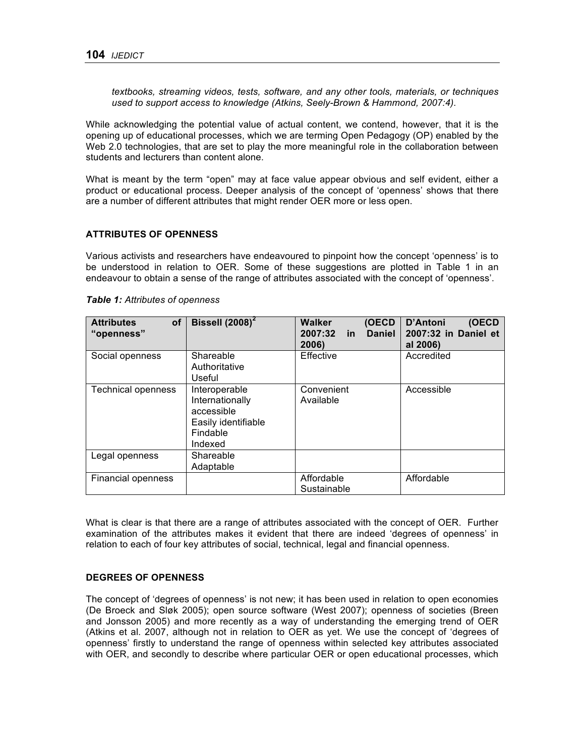*textbooks, streaming videos, tests, software, and any other tools, materials, or techniques used to support access to knowledge (Atkins, Seely-Brown & Hammond, 2007:4).*

While acknowledging the potential value of actual content, we contend, however, that it is the opening up of educational processes, which we are terming Open Pedagogy (OP) enabled by the Web 2.0 technologies, that are set to play the more meaningful role in the collaboration between students and lecturers than content alone.

What is meant by the term "open" may at face value appear obvious and self evident, either a product or educational process. Deeper analysis of the concept of 'openness' shows that there are a number of different attributes that might render OER more or less open.

#### **ATTRIBUTES OF OPENNESS**

Various activists and researchers have endeavoured to pinpoint how the concept 'openness' is to be understood in relation to OER. Some of these suggestions are plotted in Table 1 in an endeavour to obtain a sense of the range of attributes associated with the concept of 'openness'.

| of<br><b>Attributes</b><br>"openness" | Bissell $(2008)^2$                                                                           | (OECD<br><b>Walker</b><br>2007:32<br><b>Daniel</b><br><u>in</u><br>2006) | D'Antoni<br>(OECD<br>2007:32 in Daniel et<br>al 2006) |
|---------------------------------------|----------------------------------------------------------------------------------------------|--------------------------------------------------------------------------|-------------------------------------------------------|
| Social openness                       | Shareable<br>Authoritative<br>Useful                                                         | Effective                                                                | Accredited                                            |
| <b>Technical openness</b>             | Interoperable<br>Internationally<br>accessible<br>Easily identifiable<br>Findable<br>Indexed | Convenient<br>Available                                                  | Accessible                                            |
| Legal openness                        | Shareable<br>Adaptable                                                                       |                                                                          |                                                       |
| Financial openness                    |                                                                                              | Affordable<br>Sustainable                                                | Affordable                                            |

*Table 1: Attributes of openness*

What is clear is that there are a range of attributes associated with the concept of OER. Further examination of the attributes makes it evident that there are indeed 'degrees of openness' in relation to each of four key attributes of social, technical, legal and financial openness.

#### **DEGREES OF OPENNESS**

The concept of 'degrees of openness' is not new; it has been used in relation to open economies (De Broeck and Sløk 2005); open source software (West 2007); openness of societies (Breen and Jonsson 2005) and more recently as a way of understanding the emerging trend of OER (Atkins et al. 2007, although not in relation to OER as yet. We use the concept of 'degrees of openness' firstly to understand the range of openness within selected key attributes associated with OER, and secondly to describe where particular OER or open educational processes, which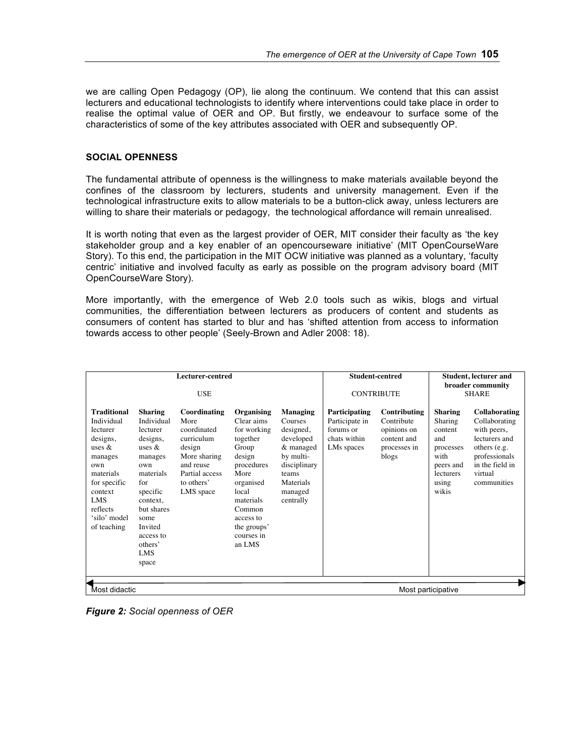we are calling Open Pedagogy (OP), lie along the continuum. We contend that this can assist lecturers and educational technologists to identify where interventions could take place in order to realise the optimal value of OER and OP. But firstly, we endeavour to surface some of the characteristics of some of the key attributes associated with OER and subsequently OP.

## **SOCIAL OPENNESS**

The fundamental attribute of openness is the willingness to make materials available beyond the confines of the classroom by lecturers, students and university management. Even if the technological infrastructure exits to allow materials to be a button-click away, unless lecturers are willing to share their materials or pedagogy, the technological affordance will remain unrealised.

It is worth noting that even as the largest provider of OER, MIT consider their faculty as 'the key stakeholder group and a key enabler of an opencourseware initiative' (MIT OpenCourseWare Story). To this end, the participation in the MIT OCW initiative was planned as a voluntary, 'faculty centric' initiative and involved faculty as early as possible on the program advisory board (MIT OpenCourseWare Story).

More importantly, with the emergence of Web 2.0 tools such as wikis, blogs and virtual communities, the differentiation between lecturers as producers of content and students as consumers of content has started to blur and has 'shifted attention from access to information towards access to other people' (Seely-Brown and Adler 2008: 18).

|                                                                                                                                                                                |                                                                                                                                                                                                                 | Lecturer-centred<br><b>USE</b>                                                                                                        |                                                                                                                                                                                               |                                                                                                                                       |                                                                            | <b>Student-centred</b><br><b>CONTRIBUTE</b>                                       |                                                                                                              | <b>Student, lecturer and</b><br>broader community<br><b>SHARE</b>                                                                            |
|--------------------------------------------------------------------------------------------------------------------------------------------------------------------------------|-----------------------------------------------------------------------------------------------------------------------------------------------------------------------------------------------------------------|---------------------------------------------------------------------------------------------------------------------------------------|-----------------------------------------------------------------------------------------------------------------------------------------------------------------------------------------------|---------------------------------------------------------------------------------------------------------------------------------------|----------------------------------------------------------------------------|-----------------------------------------------------------------------------------|--------------------------------------------------------------------------------------------------------------|----------------------------------------------------------------------------------------------------------------------------------------------|
| <b>Traditional</b><br>Individual<br>lecturer<br>designs,<br>uses &<br>manages<br>own<br>materials<br>for specific<br>context<br>LMS<br>reflects<br>'silo' model<br>of teaching | <b>Sharing</b><br>Individual<br>lecturer<br>designs,<br>uses $\&$<br>manages<br>own<br>materials<br>for<br>specific<br>context.<br>but shares<br>some<br>Invited<br>access to<br>others'<br><b>LMS</b><br>space | Coordinating<br>More<br>coordinated<br>curriculum<br>design<br>More sharing<br>and reuse<br>Partial access<br>to others'<br>LMS space | Organising<br>Clear aims<br>for working<br>together<br>Group<br>design<br>procedures<br>More<br>organised<br>local<br>materials<br>Common<br>access to<br>the groups'<br>courses in<br>an LMS | Managing<br>Courses<br>designed,<br>developed<br>& managed<br>by multi-<br>disciplinary<br>teams<br>Materials<br>managed<br>centrally | Participating<br>Participate in<br>forums or<br>chats within<br>LMs spaces | Contributing<br>Contribute<br>opinions on<br>content and<br>processes in<br>blogs | <b>Sharing</b><br>Sharing<br>content<br>and<br>processes<br>with<br>peers and<br>lecturers<br>using<br>wikis | Collaborating<br>Collaborating<br>with peers,<br>lecturers and<br>others (e.g.<br>professionals<br>in the field in<br>virtual<br>communities |
| Most didactic                                                                                                                                                                  |                                                                                                                                                                                                                 |                                                                                                                                       |                                                                                                                                                                                               |                                                                                                                                       |                                                                            |                                                                                   | Most participative                                                                                           |                                                                                                                                              |

*Figure 2: Social openness of OER*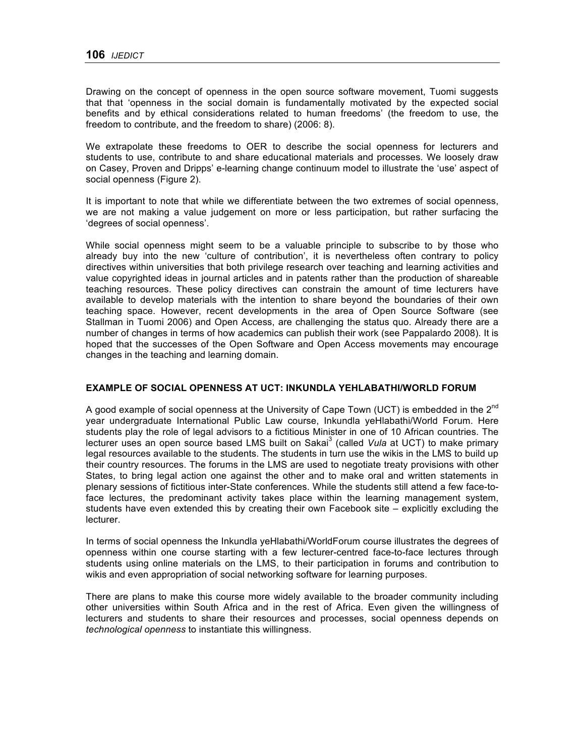Drawing on the concept of openness in the open source software movement, Tuomi suggests that that 'openness in the social domain is fundamentally motivated by the expected social benefits and by ethical considerations related to human freedoms' (the freedom to use, the freedom to contribute, and the freedom to share) (2006: 8).

We extrapolate these freedoms to OER to describe the social openness for lecturers and students to use, contribute to and share educational materials and processes. We loosely draw on Casey, Proven and Dripps' e-learning change continuum model to illustrate the 'use' aspect of social openness (Figure 2).

It is important to note that while we differentiate between the two extremes of social openness, we are not making a value judgement on more or less participation, but rather surfacing the 'degrees of social openness'.

While social openness might seem to be a valuable principle to subscribe to by those who already buy into the new 'culture of contribution', it is nevertheless often contrary to policy directives within universities that both privilege research over teaching and learning activities and value copyrighted ideas in journal articles and in patents rather than the production of shareable teaching resources. These policy directives can constrain the amount of time lecturers have available to develop materials with the intention to share beyond the boundaries of their own teaching space. However, recent developments in the area of Open Source Software (see Stallman in Tuomi 2006) and Open Access, are challenging the status quo. Already there are a number of changes in terms of how academics can publish their work (see Pappalardo 2008). It is hoped that the successes of the Open Software and Open Access movements may encourage changes in the teaching and learning domain.

## **EXAMPLE OF SOCIAL OPENNESS AT UCT: INKUNDLA YEHLABATHI/WORLD FORUM**

A good example of social openness at the University of Cape Town (UCT) is embedded in the  $2^{nd}$ year undergraduate International Public Law course, Inkundla yeHlabathi/World Forum. Here students play the role of legal advisors to a fictitious Minister in one of 10 African countries. The lecturer uses an open source based LMS built on Sakai<sup>3</sup> (called *Vula* at UCT) to make primary legal resources available to the students. The students in turn use the wikis in the LMS to build up their country resources. The forums in the LMS are used to negotiate treaty provisions with other States, to bring legal action one against the other and to make oral and written statements in plenary sessions of fictitious inter-State conferences. While the students still attend a few face-toface lectures, the predominant activity takes place within the learning management system, students have even extended this by creating their own Facebook site – explicitly excluding the lecturer.

In terms of social openness the Inkundla yeHlabathi/WorldForum course illustrates the degrees of openness within one course starting with a few lecturer-centred face-to-face lectures through students using online materials on the LMS, to their participation in forums and contribution to wikis and even appropriation of social networking software for learning purposes.

There are plans to make this course more widely available to the broader community including other universities within South Africa and in the rest of Africa. Even given the willingness of lecturers and students to share their resources and processes, social openness depends on *technological openness* to instantiate this willingness.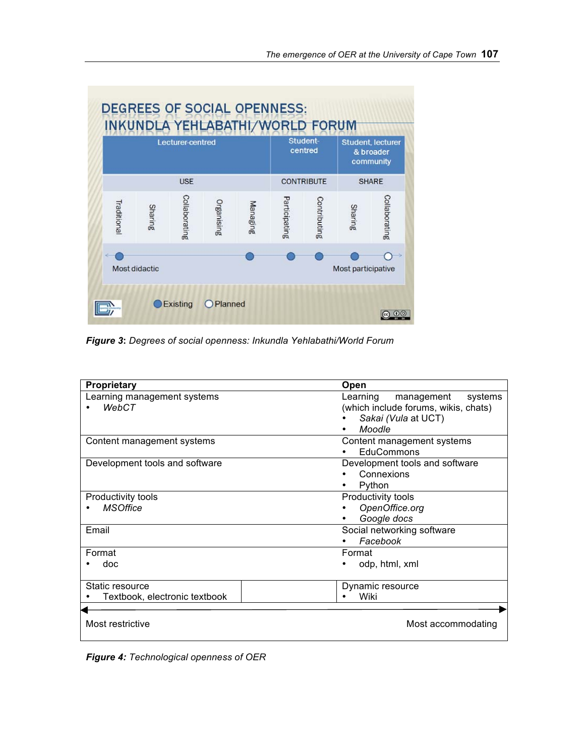|             |               | <b>Lecturer-centred</b> |            |          |               | Student-<br>centred |                    | <b>Student, lecturer</b><br>& broader<br>community |
|-------------|---------------|-------------------------|------------|----------|---------------|---------------------|--------------------|----------------------------------------------------|
|             |               | <b>USE</b>              |            |          |               | <b>CONTRIBUTE</b>   |                    | <b>SHARE</b>                                       |
| Traditional | Sharing       | Collaborating           | Organising | Managing | Participating | Contributing        | Sharing            | Collaborating                                      |
| ÷           | Most didactic |                         |            |          |               |                     | Most participative |                                                    |

*Figure 3***:** *Degrees of social openness: Inkundla Yehlabathi/World Forum*

| Proprietary                                      | Open                                                                                                       |
|--------------------------------------------------|------------------------------------------------------------------------------------------------------------|
| Learning management systems<br><b>WebCT</b>      | Learning<br>management<br>systems<br>(which include forums, wikis, chats)<br>Sakai (Vula at UCT)<br>Moodle |
| Content management systems                       | Content management systems<br>EduCommons                                                                   |
| Development tools and software                   | Development tools and software<br>Connexions<br>Python                                                     |
| Productivity tools<br><b>MSOffice</b>            | Productivity tools<br>OpenOffice.org<br>Google docs                                                        |
| Email                                            | Social networking software<br>Facebook                                                                     |
| Format<br>doc                                    | Format<br>odp, html, xml                                                                                   |
| Static resource<br>Textbook, electronic textbook | Dynamic resource<br>Wiki                                                                                   |
| Most restrictive                                 | Most accommodating                                                                                         |

*Figure 4: Technological openness of OER*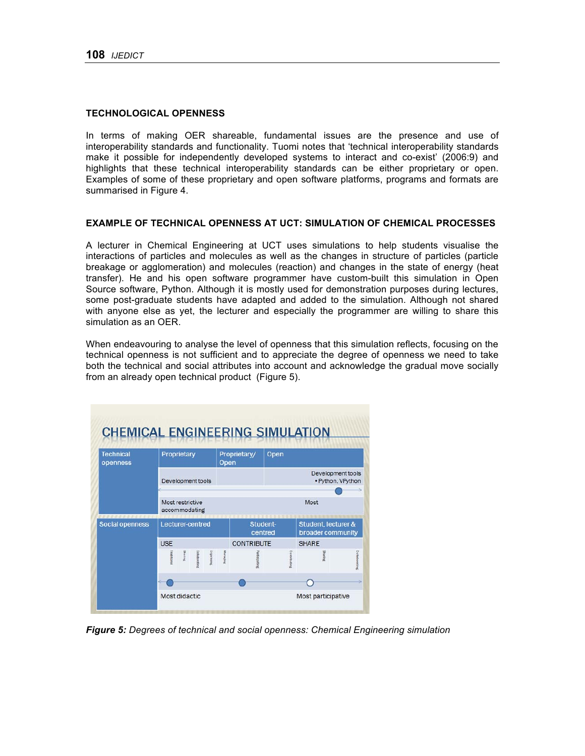#### **TECHNOLOGICAL OPENNESS**

In terms of making OER shareable, fundamental issues are the presence and use of interoperability standards and functionality. Tuomi notes that 'technical interoperability standards make it possible for independently developed systems to interact and co-exist' (2006:9) and highlights that these technical interoperability standards can be either proprietary or open. Examples of some of these proprietary and open software platforms, programs and formats are summarised in Figure 4.

#### **EXAMPLE OF TECHNICAL OPENNESS AT UCT: SIMULATION OF CHEMICAL PROCESSES**

A lecturer in Chemical Engineering at UCT uses simulations to help students visualise the interactions of particles and molecules as well as the changes in structure of particles (particle breakage or agglomeration) and molecules (reaction) and changes in the state of energy (heat transfer). He and his open software programmer have custom-built this simulation in Open Source software, Python. Although it is mostly used for demonstration purposes during lectures, some post-graduate students have adapted and added to the simulation. Although not shared with anyone else as yet, the lecturer and especially the programmer are willing to share this simulation as an OER.

When endeavouring to analyse the level of openness that this simulation reflects, focusing on the technical openness is not sufficient and to appreciate the degree of openness we need to take both the technical and social attributes into account and acknowledge the gradual move socially from an already open technical product (Figure 5).

|            |              |             |                                 |                                                        | Proprietary/  | Open                                   |                                          |                                          |
|------------|--------------|-------------|---------------------------------|--------------------------------------------------------|---------------|----------------------------------------|------------------------------------------|------------------------------------------|
|            |              |             |                                 |                                                        |               | Development tools<br>· Python, VPython |                                          |                                          |
|            |              |             |                                 |                                                        |               |                                        | Most                                     |                                          |
|            |              |             |                                 |                                                        |               |                                        |                                          |                                          |
| <b>USE</b> |              |             |                                 |                                                        |               |                                        | <b>SHARE</b>                             |                                          |
| Tradition  | <b>Saint</b> | Collabootte | Organisation                    | Maraging                                               | antiesizuting | Commounters                            | <b>Sharing</b>                           | Collaborazing                            |
|            |              |             |                                 |                                                        |               |                                        |                                          |                                          |
|            |              |             | Proprietary<br>Most restrictive | Development tools<br>accommodating<br>Lecturer-centred |               | Open                                   | Student-<br>centred<br><b>CONTRIBUTE</b> | Student, lecturer &<br>broader community |

*Figure 5: Degrees of technical and social openness: Chemical Engineering simulation*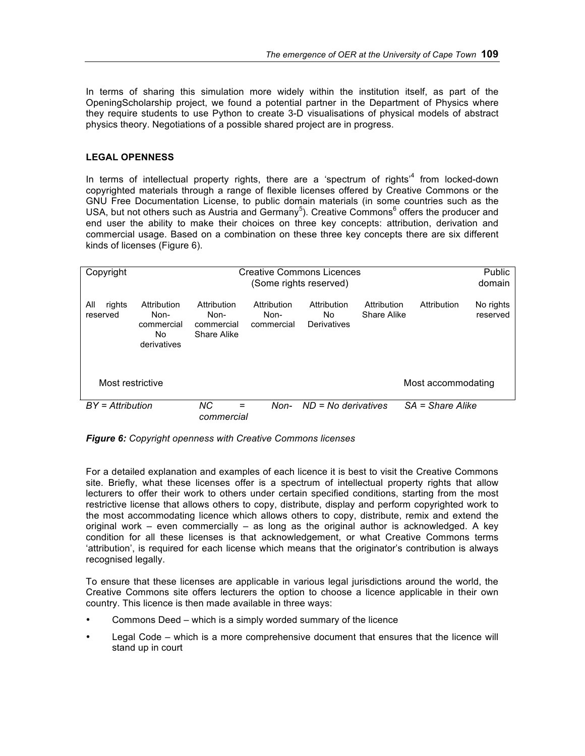In terms of sharing this simulation more widely within the institution itself, as part of the OpeningScholarship project, we found a potential partner in the Department of Physics where they require students to use Python to create 3-D visualisations of physical models of abstract physics theory. Negotiations of a possible shared project are in progress.

## **LEGAL OPENNESS**

In terms of intellectual property rights, there are a 'spectrum of rights'<sup>4</sup> from locked-down copyrighted materials through a range of flexible licenses offered by Creative Commons or the GNU Free Documentation License, to public domain materials (in some countries such as the USA, but not others such as Austria and Germany<sup>5</sup>). Creative Commons<sup>6</sup> offers the producer and end user the ability to make their choices on three key concepts: attribution, derivation and commercial usage. Based on a combination on these three key concepts there are six different kinds of licenses (Figure 6).

| Copyright          |             |                  |             | <b>Creative Commons Licences</b> |             |                    | Public    |
|--------------------|-------------|------------------|-------------|----------------------------------|-------------|--------------------|-----------|
|                    |             |                  |             | (Some rights reserved)           |             |                    | domain    |
|                    |             |                  |             |                                  |             |                    |           |
|                    |             |                  |             |                                  |             |                    |           |
| All<br>rights      | Attribution | Attribution      | Attribution | Attribution                      | Attribution | Attribution        | No rights |
| reserved           | Non-        | Non-             | Non-        | No.                              | Share Alike |                    | reserved  |
|                    |             |                  |             |                                  |             |                    |           |
|                    | commercial  | commercial       | commercial  | Derivatives                      |             |                    |           |
|                    | No          | Share Alike      |             |                                  |             |                    |           |
|                    | derivatives |                  |             |                                  |             |                    |           |
|                    |             |                  |             |                                  |             |                    |           |
|                    |             |                  |             |                                  |             |                    |           |
|                    |             |                  |             |                                  |             |                    |           |
|                    |             |                  |             |                                  |             |                    |           |
| Most restrictive   |             |                  |             |                                  |             | Most accommodating |           |
|                    |             |                  |             |                                  |             |                    |           |
| $BY = Attribution$ |             | <b>NC</b><br>$=$ | Non-        | $ND = No$ derivatives            |             | $SA = Share$ Alike |           |
|                    |             |                  |             |                                  |             |                    |           |
|                    |             | commercial       |             |                                  |             |                    |           |

*Figure 6: Copyright openness with Creative Commons licenses*

For a detailed explanation and examples of each licence it is best to visit the Creative Commons site. Briefly, what these licenses offer is a spectrum of intellectual property rights that allow lecturers to offer their work to others under certain specified conditions, starting from the most restrictive license that allows others to copy, distribute, display and perform copyrighted work to the most accommodating licence which allows others to copy, distribute, remix and extend the original work – even commercially – as long as the original author is acknowledged. A key condition for all these licenses is that acknowledgement, or what Creative Commons terms 'attribution', is required for each license which means that the originator's contribution is always recognised legally.

To ensure that these licenses are applicable in various legal jurisdictions around the world, the Creative Commons site offers lecturers the option to choose a licence applicable in their own country. This licence is then made available in three ways:

- Commons Deed which is a simply worded summary of the licence
- Legal Code which is a more comprehensive document that ensures that the licence will stand up in court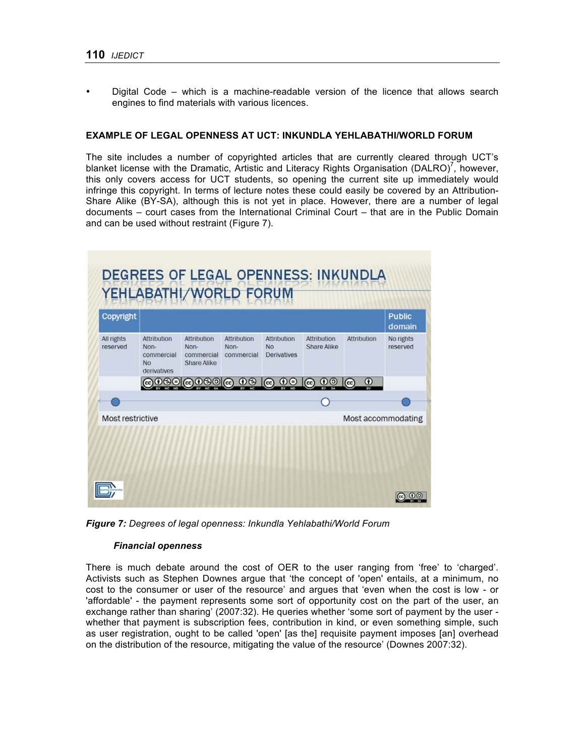• Digital Code – which is a machine-readable version of the licence that allows search engines to find materials with various licences.

#### **EXAMPLE OF LEGAL OPENNESS AT UCT: INKUNDLA YEHLABATHI/WORLD FORUM**

The site includes a number of copyrighted articles that are currently cleared through UCT's blanket license with the Dramatic, Artistic and Literacy Rights Organisation (DALRO)<sup>7</sup>, however, this only covers access for UCT students, so opening the current site up immediately would infringe this copyright. In terms of lecture notes these could easily be covered by an Attribution-Share Alike (BY-SA), although this is not yet in place. However, there are a number of legal documents – court cases from the International Criminal Court – that are in the Public Domain and can be used without restraint (Figure 7).



*Figure 7: Degrees of legal openness: Inkundla Yehlabathi/World Forum*

#### *Financial openness*

There is much debate around the cost of OER to the user ranging from 'free' to 'charged'. Activists such as Stephen Downes argue that 'the concept of 'open' entails, at a minimum, no cost to the consumer or user of the resource' and argues that 'even when the cost is low - or 'affordable' - the payment represents some sort of opportunity cost on the part of the user, an exchange rather than sharing' (2007:32). He queries whether 'some sort of payment by the user whether that payment is subscription fees, contribution in kind, or even something simple, such as user registration, ought to be called 'open' [as the] requisite payment imposes [an] overhead on the distribution of the resource, mitigating the value of the resource' (Downes 2007:32).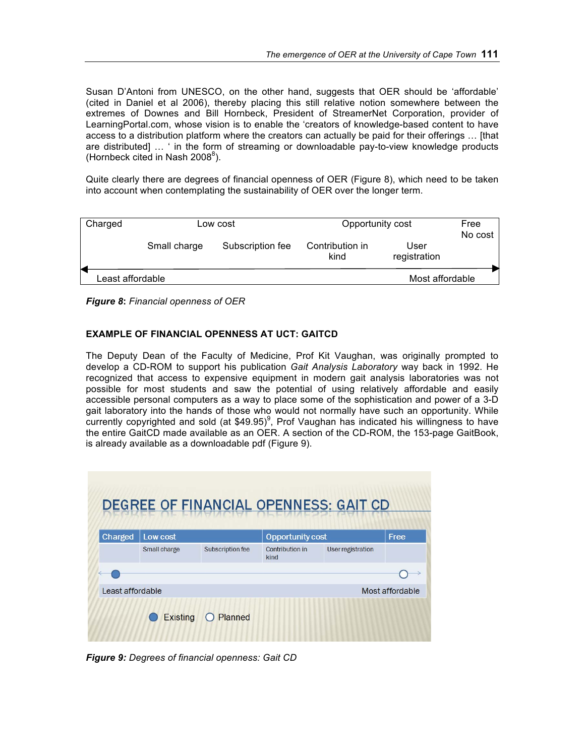Susan D'Antoni from UNESCO, on the other hand, suggests that OER should be 'affordable' (cited in Daniel et al 2006), thereby placing this still relative notion somewhere between the extremes of Downes and Bill Hornbeck, President of StreamerNet Corporation, provider of LearningPortal.com, whose vision is to enable the 'creators of knowledge-based content to have access to a distribution platform where the creators can actually be paid for their offerings … [that are distributed] … ' in the form of streaming or downloadable pay-to-view knowledge products (Hornbeck cited in Nash 2008 $^8$ ).

Quite clearly there are degrees of financial openness of OER (Figure 8), which need to be taken into account when contemplating the sustainability of OER over the longer term.

| Charged          |              | Low cost         | Opportunity cost        |                      | Free<br>No cost |
|------------------|--------------|------------------|-------------------------|----------------------|-----------------|
|                  | Small charge | Subscription fee | Contribution in<br>kind | User<br>registration |                 |
| Least affordable |              |                  |                         | Most affordable      |                 |

*Figure 8***:** *Financial openness of OER*

## **EXAMPLE OF FINANCIAL OPENNESS AT UCT: GAITCD**

The Deputy Dean of the Faculty of Medicine, Prof Kit Vaughan, was originally prompted to develop a CD-ROM to support his publication *Gait Analysis Laboratory* way back in 1992. He recognized that access to expensive equipment in modern gait analysis laboratories was not possible for most students and saw the potential of using relatively affordable and easily accessible personal computers as a way to place some of the sophistication and power of a 3-D gait laboratory into the hands of those who would not normally have such an opportunity. While currently copyrighted and sold (at \$49.95)<sup>9</sup>, Prof Vaughan has indicated his willingness to have the entire GaitCD made available as an OER. A section of the CD-ROM, the 153-page GaitBook, is already available as a downloadable pdf (Figure 9).

| Charged          | Low cost     |                  | <b>Opportunity cost</b> | Free                     |                 |
|------------------|--------------|------------------|-------------------------|--------------------------|-----------------|
|                  | Small charge | Subscription fee | Contribution in<br>kind | <b>User registration</b> |                 |
|                  |              |                  |                         |                          |                 |
| Least affordable |              |                  |                         |                          | Most affordable |

*Figure 9: Degrees of financial openness: Gait CD*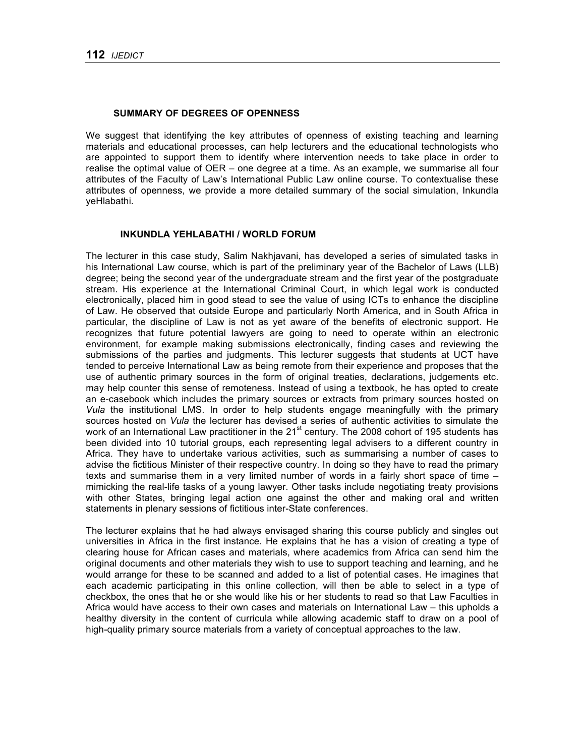#### **SUMMARY OF DEGREES OF OPENNESS**

We suggest that identifying the key attributes of openness of existing teaching and learning materials and educational processes, can help lecturers and the educational technologists who are appointed to support them to identify where intervention needs to take place in order to realise the optimal value of OER – one degree at a time. As an example, we summarise all four attributes of the Faculty of Law's International Public Law online course. To contextualise these attributes of openness, we provide a more detailed summary of the social simulation, Inkundla yeHlabathi.

#### **INKUNDLA YEHLABATHI / WORLD FORUM**

The lecturer in this case study, Salim Nakhjavani, has developed a series of simulated tasks in his International Law course, which is part of the preliminary year of the Bachelor of Laws (LLB) degree; being the second year of the undergraduate stream and the first year of the postgraduate stream. His experience at the International Criminal Court, in which legal work is conducted electronically, placed him in good stead to see the value of using ICTs to enhance the discipline of Law. He observed that outside Europe and particularly North America, and in South Africa in particular, the discipline of Law is not as yet aware of the benefits of electronic support. He recognizes that future potential lawyers are going to need to operate within an electronic environment, for example making submissions electronically, finding cases and reviewing the submissions of the parties and judgments. This lecturer suggests that students at UCT have tended to perceive International Law as being remote from their experience and proposes that the use of authentic primary sources in the form of original treaties, declarations, judgements etc. may help counter this sense of remoteness. Instead of using a textbook, he has opted to create an e-casebook which includes the primary sources or extracts from primary sources hosted on *Vula* the institutional LMS. In order to help students engage meaningfully with the primary sources hosted on *Vula* the lecturer has devised a series of authentic activities to simulate the work of an International Law practitioner in the 21<sup>st</sup> century. The 2008 cohort of 195 students has been divided into 10 tutorial groups, each representing legal advisers to a different country in Africa. They have to undertake various activities, such as summarising a number of cases to advise the fictitious Minister of their respective country. In doing so they have to read the primary texts and summarise them in a very limited number of words in a fairly short space of time – mimicking the real-life tasks of a young lawyer. Other tasks include negotiating treaty provisions with other States, bringing legal action one against the other and making oral and written statements in plenary sessions of fictitious inter-State conferences.

The lecturer explains that he had always envisaged sharing this course publicly and singles out universities in Africa in the first instance. He explains that he has a vision of creating a type of clearing house for African cases and materials, where academics from Africa can send him the original documents and other materials they wish to use to support teaching and learning, and he would arrange for these to be scanned and added to a list of potential cases. He imagines that each academic participating in this online collection, will then be able to select in a type of checkbox, the ones that he or she would like his or her students to read so that Law Faculties in Africa would have access to their own cases and materials on International Law – this upholds a healthy diversity in the content of curricula while allowing academic staff to draw on a pool of high-quality primary source materials from a variety of conceptual approaches to the law.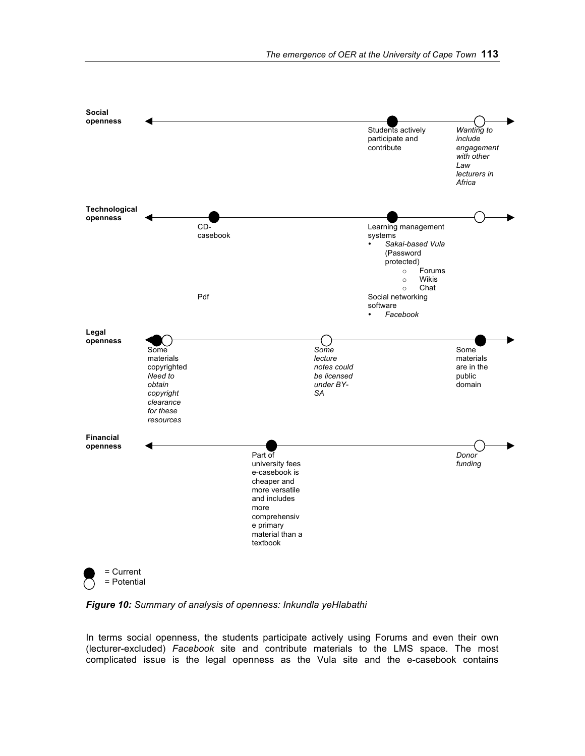

*Figure 10: Summary of analysis of openness: Inkundla yeHlabathi*

In terms social openness, the students participate actively using Forums and even their own (lecturer-excluded) *Facebook* site and contribute materials to the LMS space. The most complicated issue is the legal openness as the Vula site and the e-casebook contains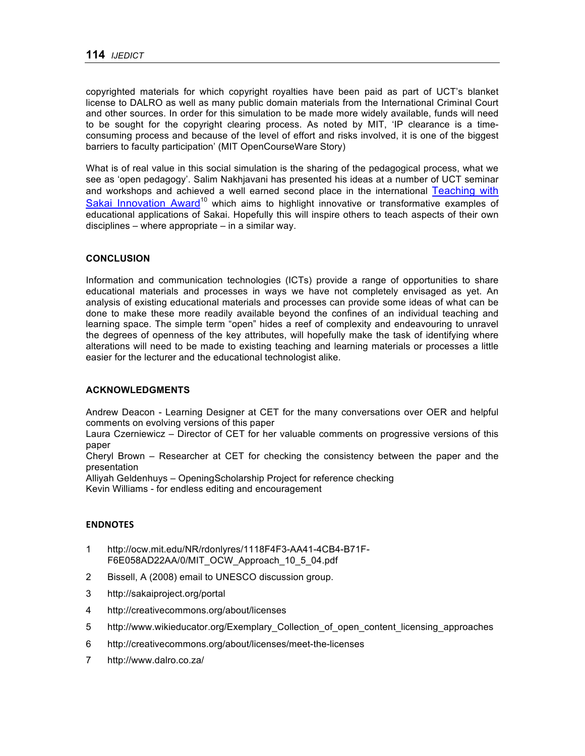copyrighted materials for which copyright royalties have been paid as part of UCT's blanket license to DALRO as well as many public domain materials from the International Criminal Court and other sources. In order for this simulation to be made more widely available, funds will need to be sought for the copyright clearing process. As noted by MIT, 'IP clearance is a timeconsuming process and because of the level of effort and risks involved, it is one of the biggest barriers to faculty participation' (MIT OpenCourseWare Story)

What is of real value in this social simulation is the sharing of the pedagogical process, what we see as 'open pedagogy'. Salim Nakhjavani has presented his ideas at a number of UCT seminar and workshops and achieved a well earned second place in the international Teaching with Sakai Innovation Award<sup>10</sup> which aims to highlight innovative or transformative examples of educational applications of Sakai. Hopefully this will inspire others to teach aspects of their own disciplines – where appropriate – in a similar way.

## **CONCLUSION**

Information and communication technologies (ICTs) provide a range of opportunities to share educational materials and processes in ways we have not completely envisaged as yet. An analysis of existing educational materials and processes can provide some ideas of what can be done to make these more readily available beyond the confines of an individual teaching and learning space. The simple term "open" hides a reef of complexity and endeavouring to unravel the degrees of openness of the key attributes, will hopefully make the task of identifying where alterations will need to be made to existing teaching and learning materials or processes a little easier for the lecturer and the educational technologist alike.

## **ACKNOWLEDGMENTS**

Andrew Deacon - Learning Designer at CET for the many conversations over OER and helpful comments on evolving versions of this paper

Laura Czerniewicz – Director of CET for her valuable comments on progressive versions of this paper

Cheryl Brown – Researcher at CET for checking the consistency between the paper and the presentation

Alliyah Geldenhuys – OpeningScholarship Project for reference checking

Kevin Williams - for endless editing and encouragement

## **ENDNOTES**

- 1 http://ocw.mit.edu/NR/rdonlyres/1118F4F3-AA41-4CB4-B71F-F6E058AD22AA/0/MIT\_OCW\_Approach\_10\_5\_04.pdf
- 2 Bissell, A (2008) email to UNESCO discussion group.
- 3 http://sakaiproject.org/portal
- 4 http://creativecommons.org/about/licenses
- 5 http://www.wikieducator.org/Exemplary\_Collection\_of\_open\_content\_licensing\_approaches
- 6 http://creativecommons.org/about/licenses/meet-the-licenses
- 7 http://www.dalro.co.za/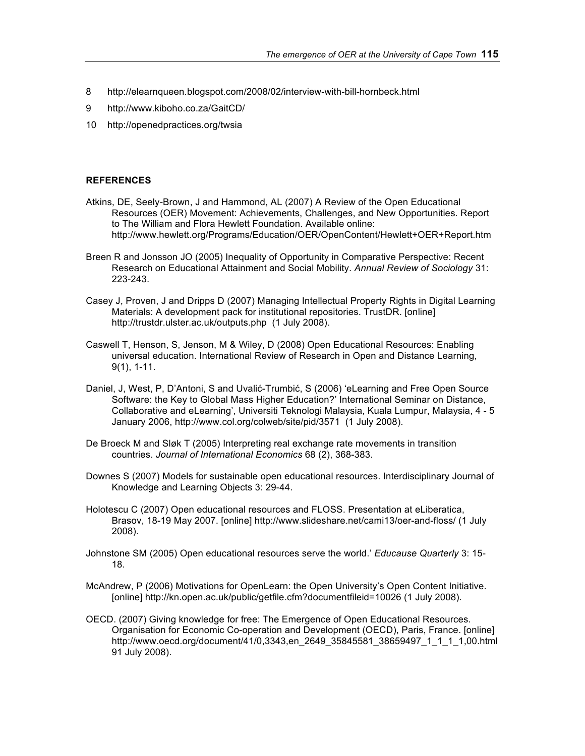- 8 http://elearnqueen.blogspot.com/2008/02/interview-with-bill-hornbeck.html
- 9 http://www.kiboho.co.za/GaitCD/
- 10 http://openedpractices.org/twsia

#### **REFERENCES**

- Atkins, DE, Seely-Brown, J and Hammond, AL (2007) A Review of the Open Educational Resources (OER) Movement: Achievements, Challenges, and New Opportunities. Report to The William and Flora Hewlett Foundation. Available online: http://www.hewlett.org/Programs/Education/OER/OpenContent/Hewlett+OER+Report.htm
- Breen R and Jonsson JO (2005) Inequality of Opportunity in Comparative Perspective: Recent Research on Educational Attainment and Social Mobility. *Annual Review of Sociology* 31: 223-243.
- Casey J, Proven, J and Dripps D (2007) Managing Intellectual Property Rights in Digital Learning Materials: A development pack for institutional repositories. TrustDR. [online] http://trustdr.ulster.ac.uk/outputs.php (1 July 2008).
- Caswell T, Henson, S, Jenson, M & Wiley, D (2008) Open Educational Resources: Enabling universal education. International Review of Research in Open and Distance Learning, 9(1), 1-11.
- Daniel, J, West, P, D'Antoni, S and Uvalić-Trumbić, S (2006) 'eLearning and Free Open Source Software: the Key to Global Mass Higher Education?' International Seminar on Distance, Collaborative and eLearning', Universiti Teknologi Malaysia, Kuala Lumpur, Malaysia, 4 - 5 January 2006, http://www.col.org/colweb/site/pid/3571 (1 July 2008).
- De Broeck M and Sløk T (2005) Interpreting real exchange rate movements in transition countries. *Journal of International Economics* 68 (2), 368-383.
- Downes S (2007) Models for sustainable open educational resources. Interdisciplinary Journal of Knowledge and Learning Objects 3: 29-44.
- Holotescu C (2007) Open educational resources and FLOSS. Presentation at eLiberatica, Brasov, 18-19 May 2007. [online] http://www.slideshare.net/cami13/oer-and-floss/ (1 July 2008).
- Johnstone SM (2005) Open educational resources serve the world.' *Educause Quarterly* 3: 15- 18.
- McAndrew, P (2006) Motivations for OpenLearn: the Open University's Open Content Initiative. [online] http://kn.open.ac.uk/public/getfile.cfm?documentfileid=10026 (1 July 2008).
- OECD. (2007) Giving knowledge for free: The Emergence of Open Educational Resources. Organisation for Economic Co-operation and Development (OECD), Paris, France. [online] http://www.oecd.org/document/41/0,3343,en\_2649\_35845581\_38659497\_1\_1\_1\_1,00.html 91 July 2008).